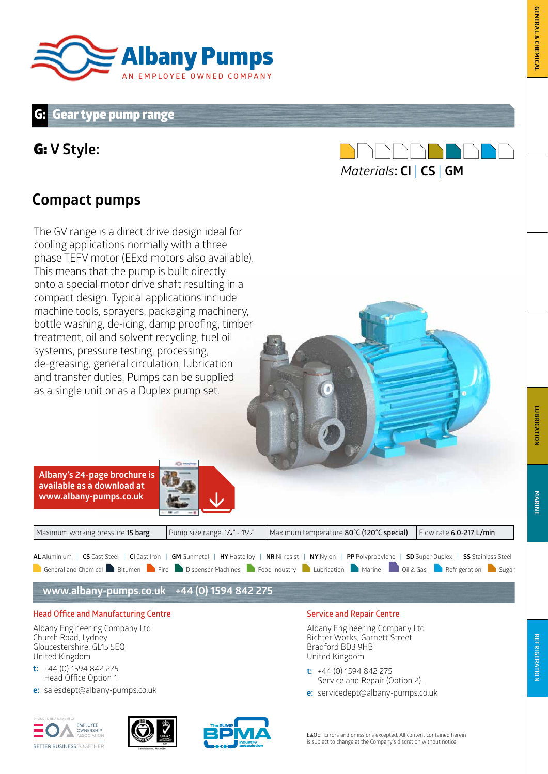

### **Gear type pump range**

### G: **V Style:**



## **Compact pumps**

The GV range is a direct drive design ideal for cooling applications normally with a three phase TEFV motor (EExd motors also available). This means that the pump is built directly onto a special motor drive shaft resulting in a compact design. Typical applications include machine tools, sprayers, packaging machinery, bottle washing, de-icing, damp proofing, timber treatment, oil and solvent recycling, fuel oil systems, pressure testing, processing, de-greasing, general circulation, lubrication and transfer duties. Pumps can be supplied as a single unit or as a Duplex pump set.

**Albany's 24-page brochure is available as a download at www.albany-pumps.co.uk** 



| Maximum working pressure 15 barg                                                                                                                             | Pump size range $1/a$ " - 11/ <sub>2</sub> " | Maximum temperature 80°C (120°C special)                                                                                              | $\vert$ Flow rate 6.0-217 L/min |  |  |  |  |  |  |  |  |
|--------------------------------------------------------------------------------------------------------------------------------------------------------------|----------------------------------------------|---------------------------------------------------------------------------------------------------------------------------------------|---------------------------------|--|--|--|--|--|--|--|--|
| AL Aluminium   CS Cast Steel   CI Cast Iron   GM Gunmetal   HY Hastelloy   NR Ni-resist   NY Nylon   PP Polypropylene   SD Super Duplex   SS Stainless Steel |                                              |                                                                                                                                       |                                 |  |  |  |  |  |  |  |  |
|                                                                                                                                                              |                                              | General and Chemical Bitumen <b>D</b> Fire Dispenser Machines <b>D</b> Food Industry Lubrication Marine 018 Gas P Refrigeration Sugar |                                 |  |  |  |  |  |  |  |  |

**www.albany-pumps.co.uk +44 (0) 1594 842 275**

#### **Head Office and Manufacturing Centre**

Albany Engineering Company Ltd Church Road, Lydney Gloucestershire, GL15 5EQ United Kingdom

- **t:** +44 (0) 1594 842 275 Head Office Option 1
- **e:** salesdept@albany-pumps.co.uk







#### **Service and Repair Centre**

Albany Engineering Company Ltd Richter Works, Garnett Street Bradford BD3 9HB United Kingdom

- **t:** +44 (0) 1594 842 275 Service and Repair (Option 2).
- **e:** servicedept@albany-pumps.co.uk

E&OE: Errors and omissions excepted. All content contained herein is subject to change at the Company's discretion without notice.